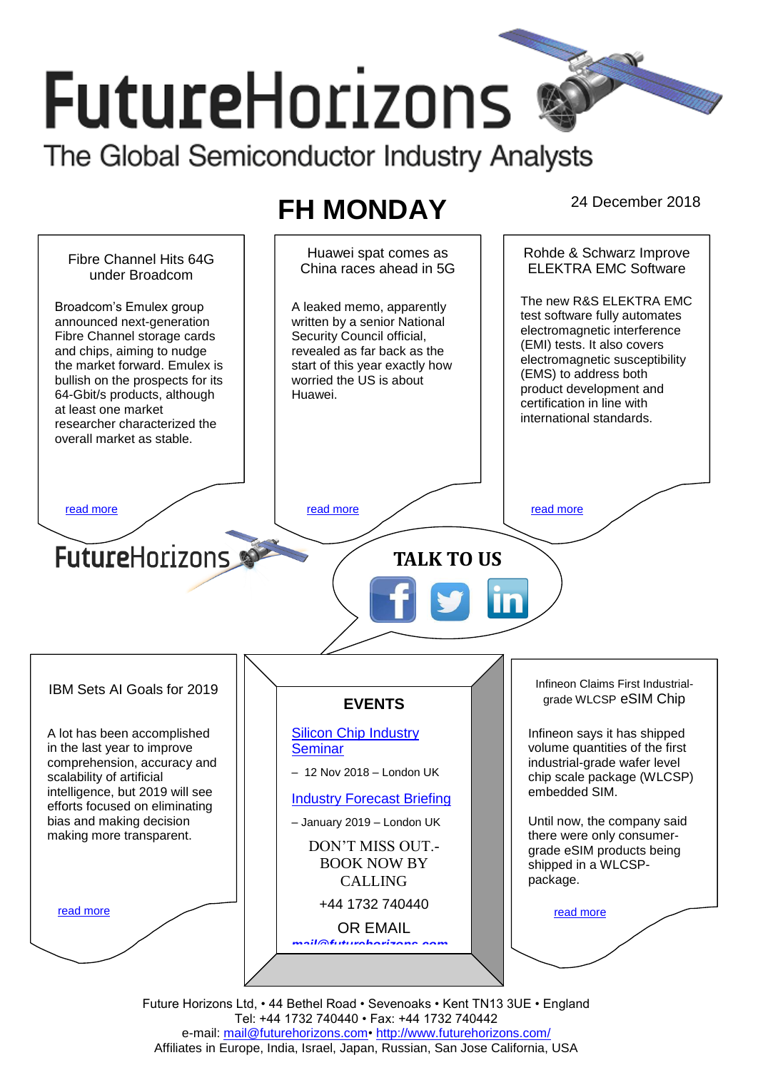# **FutureHorizons** The Global Semiconductor Industry Analysts

## FH MONDAY 24 December 2018



Future Horizons Ltd, • 44 Bethel Road • Sevenoaks • Kent TN13 3UE • England Tel: +44 1732 740440 • Fax: +44 1732 740442 e-mail: mail@futurehorizons.com• http://www.futurehorizons.com/ Affiliates in Europe, India, Israel, Japan, Russian, San Jose California, USA